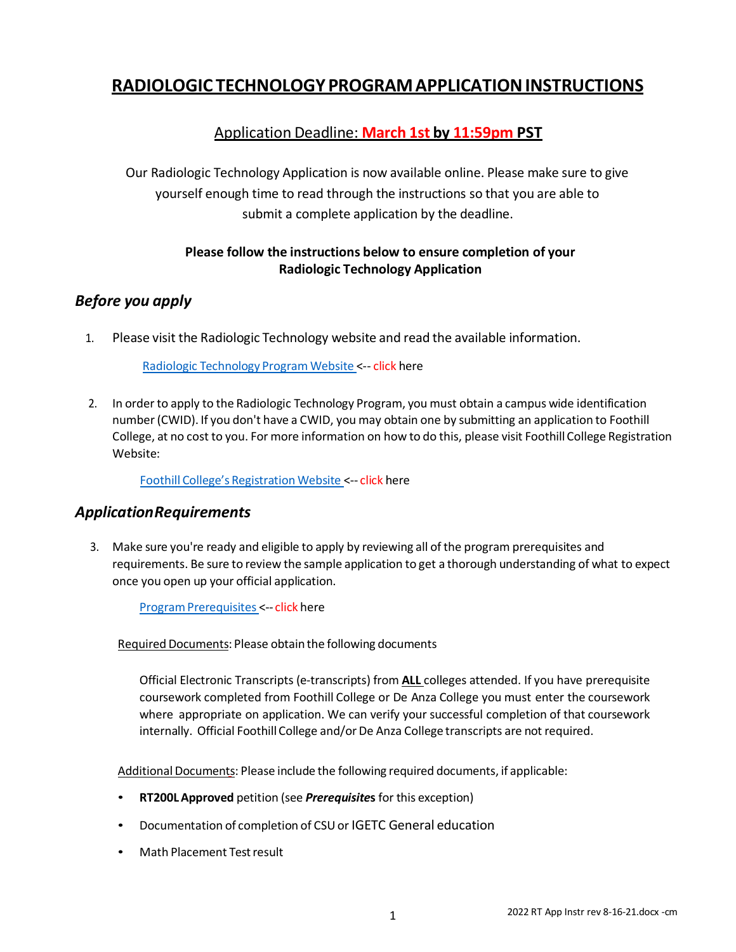# **RADIOLOGIC TECHNOLOGY PROGRAMAPPLICATIONINSTRUCTIONS**

## Application Deadline: **March 1st by 11:59pm PST**

Our Radiologic Technology Application is now available online. Please make sure to give yourself enough time to read through the instructions so that you are able to submit a complete application by the deadline.

#### **Please follow the instructions below to ensure completion of your Radiologic Technology Application**

## *Before you apply*

1. Please visit the Radiologic Technology website and read the available information.

Radiologic [Technology](https://foothill.edu/bio/programs/radtech/) Program Website <-- click here

2. In orderto apply to the Radiologic Technology Program, you must obtain a campus wide identification number(CWID). If you don't have a CWID, you may obtain one by submitting an application to Foothill College, at no cost to you. For more information on how to do this, please visit Foothill College Registration Website:

Foothill College's [Registration](https://www.foothill.edu/reg/) Website <-- click here

#### *ApplicationRequirements*

3. Make sure you're ready and eligible to apply by reviewing all of the program prerequisites and requirements. Be sure to review the sample application to get a thorough understanding of what to expect once you open up your official application.

[ProgramPrerequisites](https://foothill.edu/radtech/prereq.html) <-- click here

Required Documents: Please obtain the following documents

Official Electronic Transcripts (e-transcripts) from **ALL** colleges attended. If you have prerequisite coursework completed from Foothill College or De Anza College you must enter the coursework where appropriate on application. We can verify your successful completion of that coursework internally. Official Foothill College and/or De Anza College transcripts are not required.

Additional Documents: Please include the following required documents, if applicable:

- **RT200LApproved** petition (see *Prerequisite***s** for this exception)
- Documentation of completion of CSUor IGETC General education
- Math Placement Testresult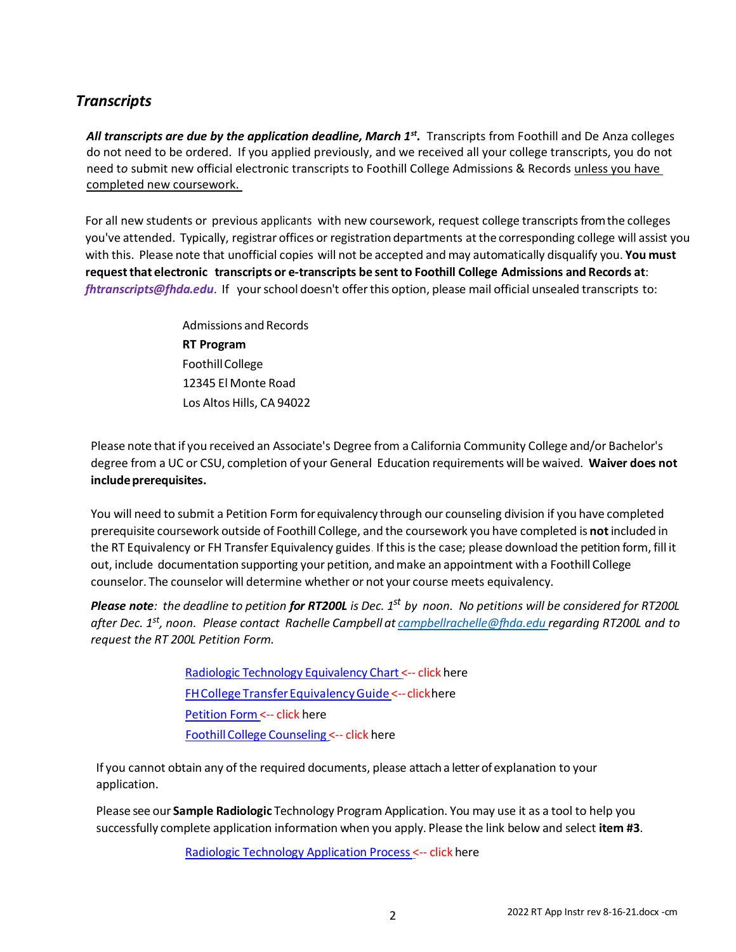## *Transcripts*

All transcripts are due by the application deadline, March 1<sup>st</sup>. Transcripts from Foothill and De Anza colleges do not need to be ordered. If you applied previously, and we received all your college transcripts, you do not need t*o* submit new official electronic transcripts to Foothill College Admissions & Records unless you have completed new coursework.

For all new students or previous applicants with new coursework, request college transcriptsfromthe colleges you've attended. Typically, registrar offices or registration departments atthe corresponding college will assist you with this. Please note that unofficial copies will not be accepted and may automatically disqualify you. **You must requestthat electronic transcripts or e-transcripts be sent to Foothill College Admissions and Records at**: *[fhtranscripts@fhda.edu](mailto:fhtranscripts@fhda.edu)*. If yourschool doesn't offerthis option, please mail official unsealed transcripts to:

> Admissions and Records **RT Program** FoothillCollege 12345 El Monte Road Los Altos Hills, CA 94022

Please note thatif you received an Associate's Degree from a California Community College and/or Bachelor's degree from a UC or CSU, completion of your General Education requirements will be waived. **Waiver does not includeprerequisites.**

You will need to submit a Petition Form for equivalency through our counseling division if you have completed prerequisite coursework outside of Foothill College, and the coursework you have completed is **not** included in the RT Equivalency or FH Transfer Equivalency guides. If this is the case; please download the petition form, fill it out, include documentation supporting your petition, andmake an appointment with a Foothill College counselor. The counselor will determine whether or not your course meets equivalency.

**Please note**: the deadline to petition **for RT200L** is Dec. 1<sup>st</sup> by noon. No petitions will be considered for RT200L after Dec. 1<sup>st</sup>, noon. Please contact Rachelle Campbell at <u>[campbellrachel](mailto:campbellrachelle@fhda.edu)[le@fhda.edu](mailto:e@fhda.edu) </u>regarding RT200L and to *request the RT 200L Petition Form.*

> Radiologic Technology [Equivalency](https://foothill.edu/bio/programs/radtech/documents/prereqs.pdf) Chart <-- click her[e](https://tes.collegesource.com/publicview/TES_publicview01.aspx?rid=79bb858e-3a97-42ca-b472-af6564c5a668&aid=cd2623cc-364a-4d83-a230-f9db155a60ce) FHCollege [TransferEquivalencyGuide](https://tes.collegesource.com/publicview/TES_publicview01.aspx?rid=79bb858e-3a97-42ca-b472-af6564c5a668&aid=cd2623cc-364a-4d83-a230-f9db155a60ce) <--clickher[e](https://foothill.edu/reg/forms/petition_substitution_form.pdf) [Petition](https://foothill.edu/reg/forms/petition_substitution_form.pdf) Form <-- click here [FoothillCollege](https://foothill.edu/services/) Counseling <-- click here

If you cannot obtain any of the required documents, please attach a letterof explanation to your application.

Please see our **Sample Radiologic** Technology Program Application. You may use it as a tool to help you successfully complete application information when you apply. Please the link below and select **item #3**.

Radiologic [Technology](https://foothill.edu/radtech/app.html) Application Process <-- click here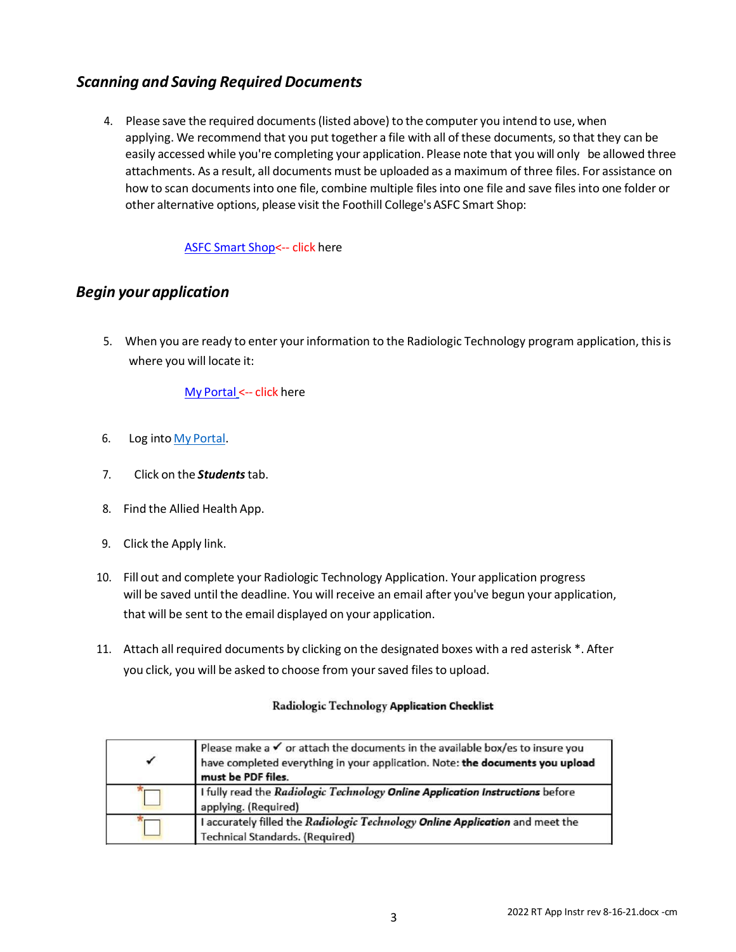# *Scanning and Saving Required Documents*

4. Please save the required documents(listed above) to the computer you intend to use, when applying. We recommend that you put together a file with all of these documents, so that they can be easily accessed while you're completing your application. Please note that you will only be allowed three attachments. As a result, all documents must be uploaded as a maximum of three files. For assistance on how to scan documents into one file, combine multiple files into one file and save files into one folder or other alternative options, please visit the Foothill College's ASFC Smart Shop:

#### [ASFC Smart](https://foothill.edu/smartshop/) Shop<-- click here

## *Begin your application*

5. When you are ready to enter yourinformation to the Radiologic Technology program application, thisis where you will locate it:

#### My [Portal](https://myportal.fhda.edu/) <-- click here

- 6. Log into My [Portal.](https://myportal.fhda.edu/cp/home/displaylogin)
- 7. Click on the *Students*tab.
- 8. Find the Allied Health App.
- 9. Click the Apply link.
- 10. Fill out and complete your Radiologic Technology Application. Your application progress will be saved until the deadline. You will receive an email after you've begun your application, that will be sent to the email displayed on your application.
- 11. Attach all required documents by clicking on the designated boxes with a red asterisk \*. After you click, you will be asked to choose from your saved files to upload.

#### Radiologic Technology Application Checklist

| $\checkmark$ | Please make a $\checkmark$ or attach the documents in the available box/es to insure you<br>have completed everything in your application. Note: the documents you upload<br>must be PDF files. |
|--------------|-------------------------------------------------------------------------------------------------------------------------------------------------------------------------------------------------|
|              | I fully read the Radiologic Technology Online Application Instructions before<br>applying. (Required)                                                                                           |
|              | I accurately filled the Radiologic Technology Online Application and meet the<br><b>Technical Standards. (Required)</b>                                                                         |